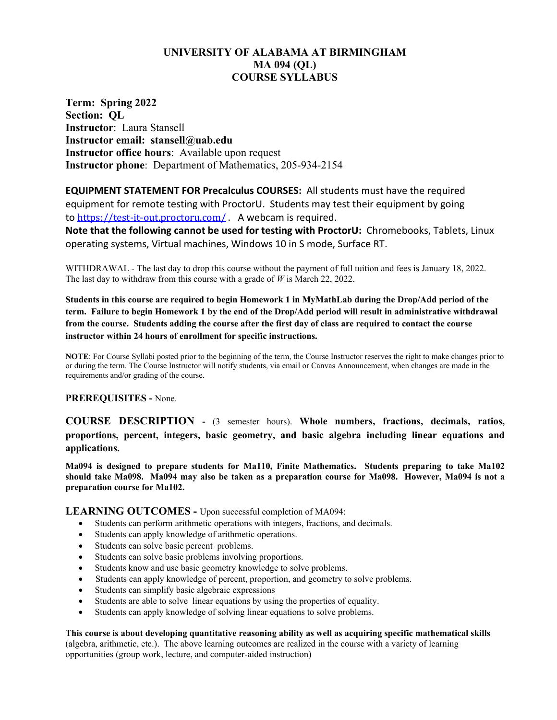# **UNIVERSITY OF ALABAMA AT BIRMINGHAM MA 094 (QL) COURSE SYLLABUS**

**Term: Spring 2022 Section: QL Instructor**: Laura Stansell **Instructor email: stansell@uab.edu Instructor office hours**: Available upon request **Instructor phone**: Department of Mathematics, 205-934-2154

**EQUIPMENT STATEMENT FOR Precalculus COURSES:** All students must have the required equipment for remote testing with ProctorU. Students may test their equipment by going to <https://test-it-out.proctoru.com/> . A webcam is required.

**Note that the following cannot be used for testing with ProctorU:** Chromebooks, Tablets, Linux operating systems, Virtual machines, Windows 10 in S mode, Surface RT.

WITHDRAWAL - The last day to drop this course without the payment of full tuition and fees is January 18, 2022. The last day to withdraw from this course with a grade of *W* is March 22, 2022.

**Students in this course are required to begin Homework 1 in MyMathLab during the Drop/Add period of the term. Failure to begin Homework 1 by the end of the Drop/Add period will result in administrative withdrawal from the course. Students adding the course after the first day of class are required to contact the course instructor within 24 hours of enrollment for specific instructions.**

**NOTE**: For Course Syllabi posted prior to the beginning of the term, the Course Instructor reserves the right to make changes prior to or during the term. The Course Instructor will notify students, via email or Canvas Announcement, when changes are made in the requirements and/or grading of the course.

**PREREQUISITES -** None.

**COURSE DESCRIPTION -** (3 semester hours). **Whole numbers, fractions, decimals, ratios, proportions, percent, integers, basic geometry, and basic algebra including linear equations and applications.** 

**Ma094 is designed to prepare students for Ma110, Finite Mathematics. Students preparing to take Ma102 should take Ma098. Ma094 may also be taken as a preparation course for Ma098. However, Ma094 is not a preparation course for Ma102.**

**LEARNING OUTCOMES -** Upon successful completion of MA094:

- Students can perform arithmetic operations with integers, fractions, and decimals.
- Students can apply knowledge of arithmetic operations.
- Students can solve basic percent problems.
- Students can solve basic problems involving proportions.
- Students know and use basic geometry knowledge to solve problems.
- Students can apply knowledge of percent, proportion, and geometry to solve problems.
- Students can simplify basic algebraic expressions
- Students are able to solve linear equations by using the properties of equality.
- Students can apply knowledge of solving linear equations to solve problems.

**This course is about developing quantitative reasoning ability as well as acquiring specific mathematical skills** (algebra, arithmetic, etc.). The above learning outcomes are realized in the course with a variety of learning opportunities (group work, lecture, and computer-aided instruction)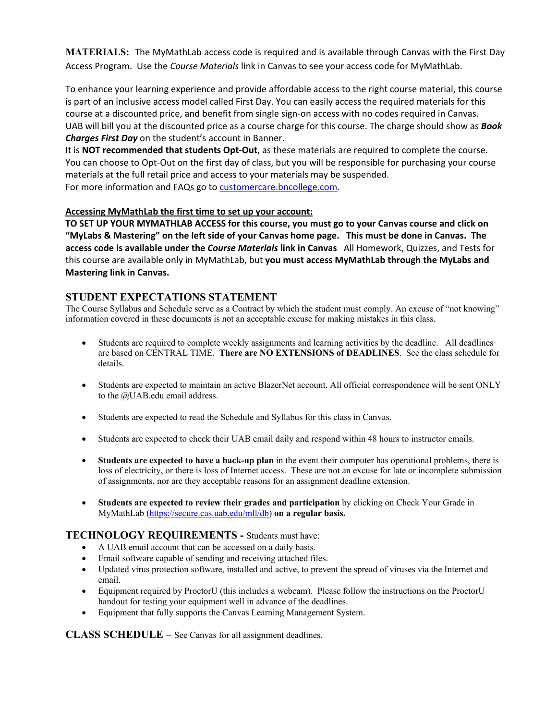**MATERIALS:** The MyMathLab access code is required and is available through Canvas with the First Day Access Program. Use the *Course Materials* link in Canvas to see your access code for MyMathLab.

To enhance your learning experience and provide affordable access to the right course material, this course is part of an inclusive access model called First Day. You can easily access the required materials for this course at a discounted price, and benefit from single sign-on access with no codes required in Canvas. UAB will bill you at the discounted price as a course charge for this course. The charge should show as *Book Charges First Day* on the student's account in Banner.

It is **NOT recommended that students Opt-Out**, as these materials are required to complete the course. You can choose to Opt-Out on the first day of class, but you will be responsible for purchasing your course materials at the full retail price and access to your materials may be suspended. For more information and FAQs go to [customercare.bncollege.com.](https://customercare.bncollege.com/hc/en-us)

### **Accessing MyMathLab the first time to set up your account:**

**TO SET UP YOUR MYMATHLAB ACCESS for this course, you must go to your Canvas course and click on "MyLabs & Mastering" on the left side of your Canvas home page. This must be done in Canvas. The access code is available under the** *Course Materials* **link in Canvas** All Homework, Quizzes, and Tests for this course are available only in MyMathLab, but **you must access MyMathLab through the MyLabs and Mastering link in Canvas.**

## **STUDENT EXPECTATIONS STATEMENT**

The Course Syllabus and Schedule serve as a Contract by which the student must comply. An excuse of "not knowing" information covered in these documents is not an acceptable excuse for making mistakes in this class.

- Students are required to complete weekly assignments and learning activities by the deadline. All deadlines are based on CENTRAL TIME. **There are NO EXTENSIONS of DEADLINES**. See the class schedule for details.
- Students are expected to maintain an active BlazerNet account. All official correspondence will be sent ONLY to the @UAB.edu email address.
- Students are expected to read the Schedule and Syllabus for this class in Canvas.
- Students are expected to check their UAB email daily and respond within 48 hours to instructor emails.
- **Students are expected to have a back-up plan** in the event their computer has operational problems, there is loss of electricity, or there is loss of Internet access. These are not an excuse for late or incomplete submission of assignments, nor are they acceptable reasons for an assignment deadline extension.
- **Students are expected to review their grades and participation** by clicking on Check Your Grade in MyMathLab [\(https://secure.cas.uab.edu/mll/db\)](https://secure.cas.uab.edu/mll/db) **on a regular basis.**

## **TECHNOLOGY REQUIREMENTS -** Students must have:

- A UAB email account that can be accessed on a daily basis.
- Email software capable of sending and receiving attached files.
- Updated virus protection software, installed and active, to prevent the spread of viruses via the Internet and email.
- Equipment required by ProctorU (this includes a webcam). Please follow the instructions on the ProctorU handout for testing your equipment well in advance of the deadlines.
- Equipment that fully supports the Canvas Learning Management System.

**CLASS SCHEDULE** – See Canvas for all assignment deadlines.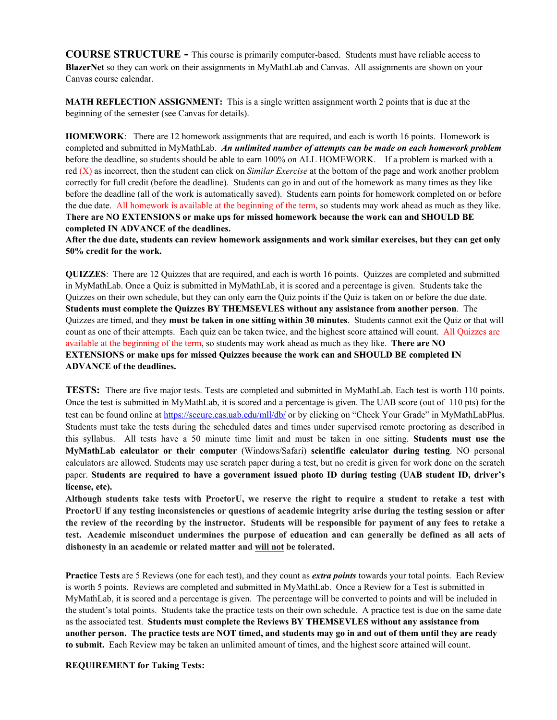**COURSE STRUCTURE -** This course is primarily computer-based. Students must have reliable access to **BlazerNet** so they can work on their assignments in MyMathLab and Canvas. All assignments are shown on your Canvas course calendar.

**MATH REFLECTION ASSIGNMENT:** This is a single written assignment worth 2 points that is due at the beginning of the semester (see Canvas for details).

**HOMEWORK**: There are 12 homework assignments that are required, and each is worth 16 points. Homework is completed and submitted in MyMathLab. *An unlimited number of attempts can be made on each homework problem*  before the deadline, so students should be able to earn 100% on ALL HOMEWORK. If a problem is marked with a red (X) as incorrect, then the student can click on *Similar Exercise* at the bottom of the page and work another problem correctly for full credit (before the deadline). Students can go in and out of the homework as many times as they like before the deadline (all of the work is automatically saved). Students earn points for homework completed on or before the due date. All homework is available at the beginning of the term, so students may work ahead as much as they like. **There are NO EXTENSIONS or make ups for missed homework because the work can and SHOULD BE completed IN ADVANCE of the deadlines.**

**After the due date, students can review homework assignments and work similar exercises, but they can get only 50% credit for the work.**

**QUIZZES**: There are 12 Quizzes that are required, and each is worth 16 points. Quizzes are completed and submitted in MyMathLab. Once a Quiz is submitted in MyMathLab, it is scored and a percentage is given. Students take the Quizzes on their own schedule, but they can only earn the Quiz points if the Quiz is taken on or before the due date. **Students must complete the Quizzes BY THEMSEVLES without any assistance from another person**. The Quizzes are timed, and they **must be taken in one sitting within 30 minutes**. Students cannot exit the Quiz or that will count as one of their attempts. Each quiz can be taken twice, and the highest score attained will count. All Quizzes are available at the beginning of the term, so students may work ahead as much as they like. **There are NO EXTENSIONS or make ups for missed Quizzes because the work can and SHOULD BE completed IN ADVANCE of the deadlines.**

**TESTS:** There are five major tests. Tests are completed and submitted in MyMathLab. Each test is worth 110 points. Once the test is submitted in MyMathLab, it is scored and a percentage is given. The UAB score (out of 110 pts) for the test can be found online at<https://secure.cas.uab.edu/mll/db/> or by clicking on "Check Your Grade" in MyMathLabPlus. Students must take the tests during the scheduled dates and times under supervised remote proctoring as described in this syllabus. All tests have a 50 minute time limit and must be taken in one sitting. **Students must use the MyMathLab calculator or their computer** (Windows/Safari) **scientific calculator during testing**. NO personal calculators are allowed. Students may use scratch paper during a test, but no credit is given for work done on the scratch paper. **Students are required to have a government issued photo ID during testing (UAB student ID, driver's license, etc).**

**Although students take tests with ProctorU, we reserve the right to require a student to retake a test with ProctorU if any testing inconsistencies or questions of academic integrity arise during the testing session or after the review of the recording by the instructor. Students will be responsible for payment of any fees to retake a test. Academic misconduct undermines the purpose of education and can generally be defined as all acts of dishonesty in an academic or related matter and will not be tolerated.**

**Practice Tests** are 5 Reviews (one for each test), and they count as *extra points* towards your total points. Each Review is worth 5 points. Reviews are completed and submitted in MyMathLab. Once a Review for a Test is submitted in MyMathLab, it is scored and a percentage is given. The percentage will be converted to points and will be included in the student's total points. Students take the practice tests on their own schedule. A practice test is due on the same date as the associated test. **Students must complete the Reviews BY THEMSEVLES without any assistance from another person. The practice tests are NOT timed, and students may go in and out of them until they are ready to submit.** Each Review may be taken an unlimited amount of times, and the highest score attained will count.

#### **REQUIREMENT for Taking Tests:**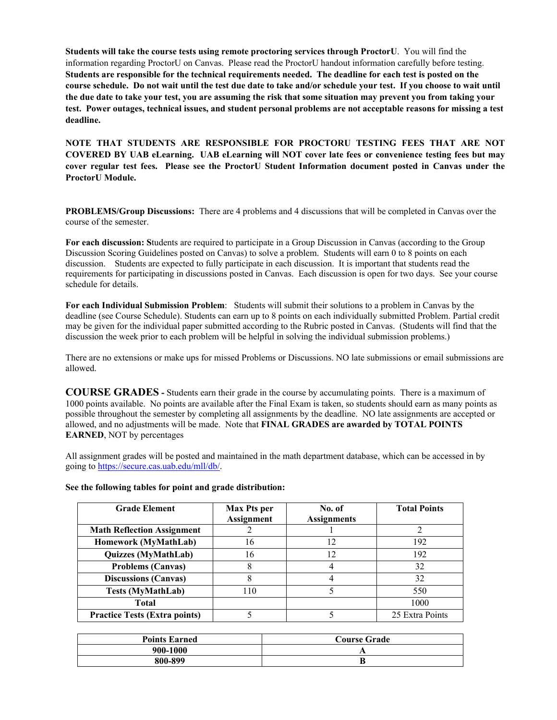**Students will take the course tests using remote proctoring services through ProctorU**. You will find the information regarding ProctorU on Canvas. Please read the ProctorU handout information carefully before testing. **Students are responsible for the technical requirements needed. The deadline for each test is posted on the course schedule. Do not wait until the test due date to take and/or schedule your test. If you choose to wait until the due date to take your test, you are assuming the risk that some situation may prevent you from taking your test. Power outages, technical issues, and student personal problems are not acceptable reasons for missing a test deadline.**

**NOTE THAT STUDENTS ARE RESPONSIBLE FOR PROCTORU TESTING FEES THAT ARE NOT COVERED BY UAB eLearning. UAB eLearning will NOT cover late fees or convenience testing fees but may cover regular test fees. Please see the ProctorU Student Information document posted in Canvas under the ProctorU Module.**

**PROBLEMS/Group Discussions:** There are 4 problems and 4 discussions that will be completed in Canvas over the course of the semester.

**For each discussion: S**tudents are required to participate in a Group Discussion in Canvas (according to the Group Discussion Scoring Guidelines posted on Canvas) to solve a problem. Students will earn 0 to 8 points on each discussion. Students are expected to fully participate in each discussion. It is important that students read the requirements for participating in discussions posted in Canvas. Each discussion is open for two days. See your course schedule for details.

**For each Individual Submission Problem**: Students will submit their solutions to a problem in Canvas by the deadline (see Course Schedule). Students can earn up to 8 points on each individually submitted Problem. Partial credit may be given for the individual paper submitted according to the Rubric posted in Canvas. (Students will find that the discussion the week prior to each problem will be helpful in solving the individual submission problems.)

There are no extensions or make ups for missed Problems or Discussions. NO late submissions or email submissions are allowed.

**COURSE GRADES -** Students earn their grade in the course by accumulating points. There is a maximum of 1000 points available. No points are available after the Final Exam is taken, so students should earn as many points as possible throughout the semester by completing all assignments by the deadline. NO late assignments are accepted or allowed, and no adjustments will be made. Note that **FINAL GRADES are awarded by TOTAL POINTS EARNED**, NOT by percentages

All assignment grades will be posted and maintained in the math department database, which can be accessed in by going t[o https://secure.cas.uab.edu/mll/db/.](https://secure.cas.uab.edu/mll/db/)

| See the following tables for point and grade distribution: |  |  |  |  |  |
|------------------------------------------------------------|--|--|--|--|--|
|------------------------------------------------------------|--|--|--|--|--|

| <b>Grade Element</b>                 | <b>Max Pts per</b><br><b>Assignment</b> | No. of<br><b>Assignments</b> | <b>Total Points</b> |
|--------------------------------------|-----------------------------------------|------------------------------|---------------------|
| <b>Math Reflection Assignment</b>    |                                         |                              | 2                   |
| Homework (MyMathLab)                 | 16                                      | 12                           | 192                 |
| Quizzes (MyMathLab)                  | 16                                      | 12                           | 192                 |
| <b>Problems (Canvas)</b>             |                                         |                              | 32                  |
| <b>Discussions (Canvas)</b>          | 8                                       |                              | 32                  |
| <b>Tests (MyMathLab)</b>             | 110                                     |                              | 550                 |
| <b>Total</b>                         |                                         |                              | 1000                |
| <b>Practice Tests (Extra points)</b> |                                         |                              | 25 Extra Points     |

| <b>Points Earned</b> | <b>Course Grade</b> |  |
|----------------------|---------------------|--|
| 900-1000             |                     |  |
| 800-899              |                     |  |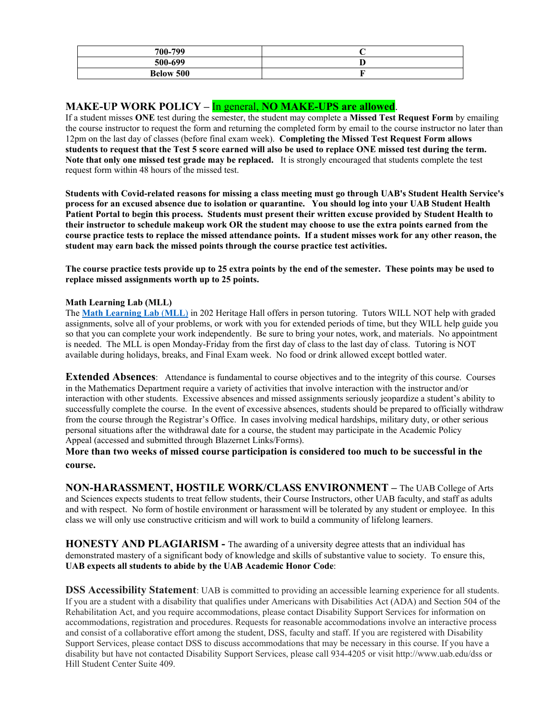| 700-799          |  |
|------------------|--|
| 500-699          |  |
| <b>Below 500</b> |  |

**MAKE-UP WORK POLICY – In general, NO MAKE-UPS are allowed.**<br>If a student misses ONE test during the semester, the student may complete a Missed Test Request Form by emailing the course instructor to request the form and returning the completed form by email to the course instructor no later than 12pm on the last day of classes (before final exam week). **Completing the Missed Test Request Form allows students to request that the Test 5 score earned will also be used to replace ONE missed test during the term. Note that only one missed test grade may be replaced.** It is strongly encouraged that students complete the test request form within 48 hours of the missed test.

**Students with Covid-related reasons for missing a class meeting must go through UAB's Student Health Service's process for an excused absence due to isolation or quarantine. You should log into your UAB Student Health Patient Portal to begin this process. Students must present their written excuse provided by Student Health to their instructor to schedule makeup work OR the student may choose to use the extra points earned from the course practice tests to replace the missed attendance points. If a student misses work for any other reason, the student may earn back the missed points through the course practice test activities.**

**The course practice tests provide up to 25 extra points by the end of the semester. These points may be used to replace missed assignments worth up to 25 points.**

#### **Math Learning Lab (MLL)**

The **Math [Learning](https://www.uab.edu/cas/mathematics/student-resources/math-learning-lab) Lab** (**MLL**) in 202 Heritage Hall offers in person tutoring. Tutors WILL NOT help with graded assignments, solve all of your problems, or work with you for extended periods of time, but they WILL help guide you so that you can complete your work independently. Be sure to bring your notes, work, and materials. No appointment is needed. The MLL is open Monday-Friday from the first day of class to the last day of class. Tutoring is NOT available during holidays, breaks, and Final Exam week. No food or drink allowed except bottled water.

**Extended Absences:** Attendance is fundamental to course objectives and to the integrity of this course. Courses in the Mathematics Department require a variety of activities that involve interaction with the instructor and/or interaction with other students. Excessive absences and missed assignments seriously jeopardize a student's ability to successfully complete the course. In the event of excessive absences, students should be prepared to officially withdraw from the course through the Registrar's Office. In cases involving medical hardships, military duty, or other serious personal situations after the withdrawal date for a course, the student may participate in the Academic Policy Appeal (accessed and submitted through Blazernet Links/Forms).

**More than two weeks of missed course participation is considered too much to be successful in the course.**

**NON-HARASSMENT, HOSTILE WORK/CLASS ENVIRONMENT –** The UAB College of Arts and Sciences expects students to treat fellow students, their Course Instructors, other UAB faculty, and staff as adults and with respect. No form of hostile environment or harassment will be tolerated by any student or employee. In this class we will only use constructive criticism and will work to build a community of lifelong learners.

**HONESTY AND PLAGIARISM -** The awarding of a university degree attests that an individual has demonstrated mastery of a significant body of knowledge and skills of substantive value to society. To ensure this, **UAB expects all students to abide by the UAB Academic Honor Code**:

**DSS Accessibility Statement**: UAB is committed to providing an accessible learning experience for all students. If you are a student with a disability that qualifies under Americans with Disabilities Act (ADA) and Section 504 of the Rehabilitation Act, and you require accommodations, please contact Disability Support Services for information on accommodations, registration and procedures. Requests for reasonable accommodations involve an interactive process and consist of a collaborative effort among the student, DSS, faculty and staff. If you are registered with Disability Support Services, please contact DSS to discuss accommodations that may be necessary in this course. If you have a disability but have not contacted Disability Support Services, please call 934-4205 or visit http://www.uab.edu/dss or Hill Student Center Suite 409.